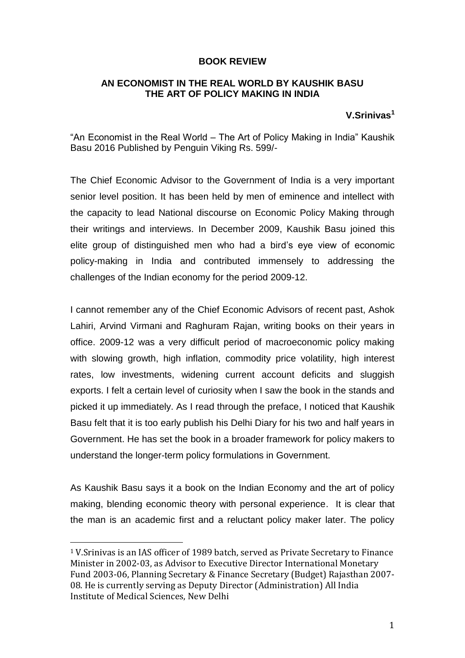## **BOOK REVIEW**

## **AN ECONOMIST IN THE REAL WORLD BY KAUSHIK BASU THE ART OF POLICY MAKING IN INDIA**

## **V.Srinivas<sup>1</sup>**

"An Economist in the Real World – The Art of Policy Making in India" Kaushik Basu 2016 Published by Penguin Viking Rs. 599/-

The Chief Economic Advisor to the Government of India is a very important senior level position. It has been held by men of eminence and intellect with the capacity to lead National discourse on Economic Policy Making through their writings and interviews. In December 2009, Kaushik Basu joined this elite group of distinguished men who had a bird's eye view of economic policy-making in India and contributed immensely to addressing the challenges of the Indian economy for the period 2009-12.

I cannot remember any of the Chief Economic Advisors of recent past, Ashok Lahiri, Arvind Virmani and Raghuram Rajan, writing books on their years in office. 2009-12 was a very difficult period of macroeconomic policy making with slowing growth, high inflation, commodity price volatility, high interest rates, low investments, widening current account deficits and sluggish exports. I felt a certain level of curiosity when I saw the book in the stands and picked it up immediately. As I read through the preface, I noticed that Kaushik Basu felt that it is too early publish his Delhi Diary for his two and half years in Government. He has set the book in a broader framework for policy makers to understand the longer-term policy formulations in Government.

As Kaushik Basu says it a book on the Indian Economy and the art of policy making, blending economic theory with personal experience. It is clear that the man is an academic first and a reluctant policy maker later. The policy

 $\overline{a}$ 

<sup>1</sup> V.Srinivas is an IAS officer of 1989 batch, served as Private Secretary to Finance Minister in 2002-03, as Advisor to Executive Director International Monetary Fund 2003-06, Planning Secretary & Finance Secretary (Budget) Rajasthan 2007- 08. He is currently serving as Deputy Director (Administration) All India Institute of Medical Sciences, New Delhi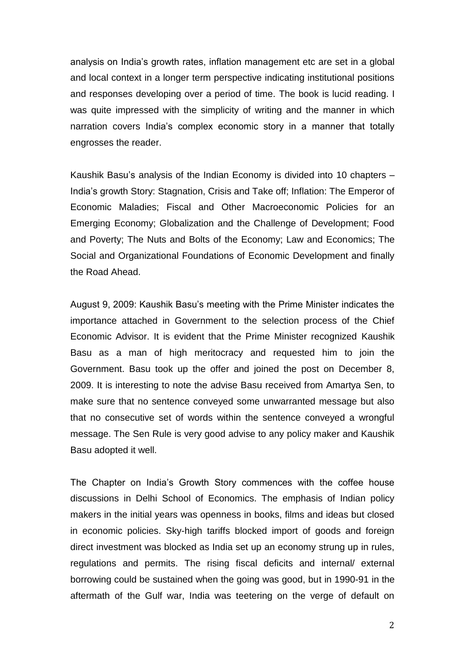analysis on India's growth rates, inflation management etc are set in a global and local context in a longer term perspective indicating institutional positions and responses developing over a period of time. The book is lucid reading. I was quite impressed with the simplicity of writing and the manner in which narration covers India's complex economic story in a manner that totally engrosses the reader.

Kaushik Basu's analysis of the Indian Economy is divided into 10 chapters – India's growth Story: Stagnation, Crisis and Take off; Inflation: The Emperor of Economic Maladies; Fiscal and Other Macroeconomic Policies for an Emerging Economy; Globalization and the Challenge of Development; Food and Poverty; The Nuts and Bolts of the Economy; Law and Economics; The Social and Organizational Foundations of Economic Development and finally the Road Ahead.

August 9, 2009: Kaushik Basu's meeting with the Prime Minister indicates the importance attached in Government to the selection process of the Chief Economic Advisor. It is evident that the Prime Minister recognized Kaushik Basu as a man of high meritocracy and requested him to join the Government. Basu took up the offer and joined the post on December 8, 2009. It is interesting to note the advise Basu received from Amartya Sen, to make sure that no sentence conveyed some unwarranted message but also that no consecutive set of words within the sentence conveyed a wrongful message. The Sen Rule is very good advise to any policy maker and Kaushik Basu adopted it well.

The Chapter on India's Growth Story commences with the coffee house discussions in Delhi School of Economics. The emphasis of Indian policy makers in the initial years was openness in books, films and ideas but closed in economic policies. Sky-high tariffs blocked import of goods and foreign direct investment was blocked as India set up an economy strung up in rules, regulations and permits. The rising fiscal deficits and internal/ external borrowing could be sustained when the going was good, but in 1990-91 in the aftermath of the Gulf war, India was teetering on the verge of default on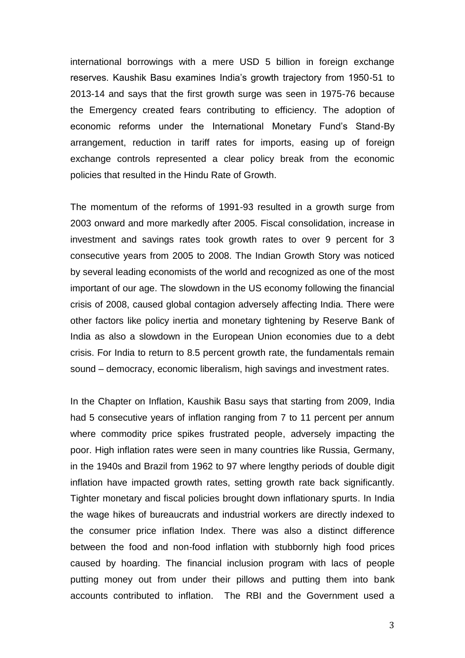international borrowings with a mere USD 5 billion in foreign exchange reserves. Kaushik Basu examines India's growth trajectory from 1950-51 to 2013-14 and says that the first growth surge was seen in 1975-76 because the Emergency created fears contributing to efficiency. The adoption of economic reforms under the International Monetary Fund's Stand-By arrangement, reduction in tariff rates for imports, easing up of foreign exchange controls represented a clear policy break from the economic policies that resulted in the Hindu Rate of Growth.

The momentum of the reforms of 1991-93 resulted in a growth surge from 2003 onward and more markedly after 2005. Fiscal consolidation, increase in investment and savings rates took growth rates to over 9 percent for 3 consecutive years from 2005 to 2008. The Indian Growth Story was noticed by several leading economists of the world and recognized as one of the most important of our age. The slowdown in the US economy following the financial crisis of 2008, caused global contagion adversely affecting India. There were other factors like policy inertia and monetary tightening by Reserve Bank of India as also a slowdown in the European Union economies due to a debt crisis. For India to return to 8.5 percent growth rate, the fundamentals remain sound – democracy, economic liberalism, high savings and investment rates.

In the Chapter on Inflation, Kaushik Basu says that starting from 2009, India had 5 consecutive years of inflation ranging from 7 to 11 percent per annum where commodity price spikes frustrated people, adversely impacting the poor. High inflation rates were seen in many countries like Russia, Germany, in the 1940s and Brazil from 1962 to 97 where lengthy periods of double digit inflation have impacted growth rates, setting growth rate back significantly. Tighter monetary and fiscal policies brought down inflationary spurts. In India the wage hikes of bureaucrats and industrial workers are directly indexed to the consumer price inflation Index. There was also a distinct difference between the food and non-food inflation with stubbornly high food prices caused by hoarding. The financial inclusion program with lacs of people putting money out from under their pillows and putting them into bank accounts contributed to inflation. The RBI and the Government used a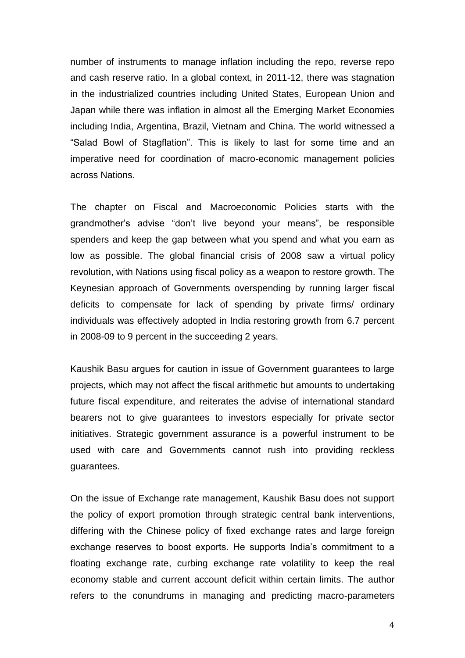number of instruments to manage inflation including the repo, reverse repo and cash reserve ratio. In a global context, in 2011-12, there was stagnation in the industrialized countries including United States, European Union and Japan while there was inflation in almost all the Emerging Market Economies including India, Argentina, Brazil, Vietnam and China. The world witnessed a "Salad Bowl of Stagflation". This is likely to last for some time and an imperative need for coordination of macro-economic management policies across Nations.

The chapter on Fiscal and Macroeconomic Policies starts with the grandmother's advise "don't live beyond your means", be responsible spenders and keep the gap between what you spend and what you earn as low as possible. The global financial crisis of 2008 saw a virtual policy revolution, with Nations using fiscal policy as a weapon to restore growth. The Keynesian approach of Governments overspending by running larger fiscal deficits to compensate for lack of spending by private firms/ ordinary individuals was effectively adopted in India restoring growth from 6.7 percent in 2008-09 to 9 percent in the succeeding 2 years.

Kaushik Basu argues for caution in issue of Government guarantees to large projects, which may not affect the fiscal arithmetic but amounts to undertaking future fiscal expenditure, and reiterates the advise of international standard bearers not to give guarantees to investors especially for private sector initiatives. Strategic government assurance is a powerful instrument to be used with care and Governments cannot rush into providing reckless guarantees.

On the issue of Exchange rate management, Kaushik Basu does not support the policy of export promotion through strategic central bank interventions, differing with the Chinese policy of fixed exchange rates and large foreign exchange reserves to boost exports. He supports India's commitment to a floating exchange rate, curbing exchange rate volatility to keep the real economy stable and current account deficit within certain limits. The author refers to the conundrums in managing and predicting macro-parameters

4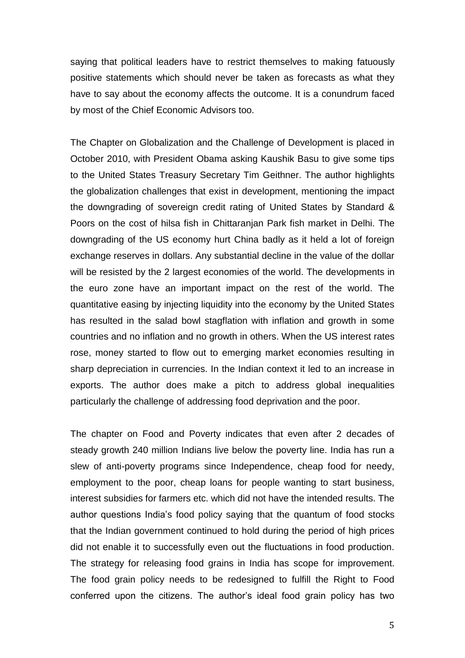saying that political leaders have to restrict themselves to making fatuously positive statements which should never be taken as forecasts as what they have to say about the economy affects the outcome. It is a conundrum faced by most of the Chief Economic Advisors too.

The Chapter on Globalization and the Challenge of Development is placed in October 2010, with President Obama asking Kaushik Basu to give some tips to the United States Treasury Secretary Tim Geithner. The author highlights the globalization challenges that exist in development, mentioning the impact the downgrading of sovereign credit rating of United States by Standard & Poors on the cost of hilsa fish in Chittaranjan Park fish market in Delhi. The downgrading of the US economy hurt China badly as it held a lot of foreign exchange reserves in dollars. Any substantial decline in the value of the dollar will be resisted by the 2 largest economies of the world. The developments in the euro zone have an important impact on the rest of the world. The quantitative easing by injecting liquidity into the economy by the United States has resulted in the salad bowl stagflation with inflation and growth in some countries and no inflation and no growth in others. When the US interest rates rose, money started to flow out to emerging market economies resulting in sharp depreciation in currencies. In the Indian context it led to an increase in exports. The author does make a pitch to address global inequalities particularly the challenge of addressing food deprivation and the poor.

The chapter on Food and Poverty indicates that even after 2 decades of steady growth 240 million Indians live below the poverty line. India has run a slew of anti-poverty programs since Independence, cheap food for needy, employment to the poor, cheap loans for people wanting to start business, interest subsidies for farmers etc. which did not have the intended results. The author questions India's food policy saying that the quantum of food stocks that the Indian government continued to hold during the period of high prices did not enable it to successfully even out the fluctuations in food production. The strategy for releasing food grains in India has scope for improvement. The food grain policy needs to be redesigned to fulfill the Right to Food conferred upon the citizens. The author's ideal food grain policy has two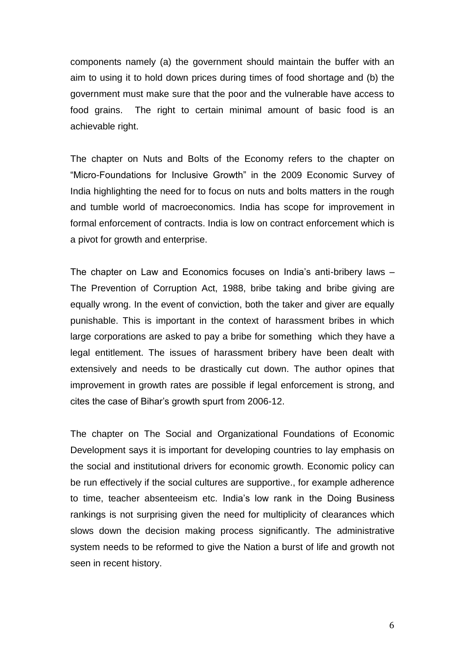components namely (a) the government should maintain the buffer with an aim to using it to hold down prices during times of food shortage and (b) the government must make sure that the poor and the vulnerable have access to food grains. The right to certain minimal amount of basic food is an achievable right.

The chapter on Nuts and Bolts of the Economy refers to the chapter on "Micro-Foundations for Inclusive Growth" in the 2009 Economic Survey of India highlighting the need for to focus on nuts and bolts matters in the rough and tumble world of macroeconomics. India has scope for improvement in formal enforcement of contracts. India is low on contract enforcement which is a pivot for growth and enterprise.

The chapter on Law and Economics focuses on India's anti-bribery laws – The Prevention of Corruption Act, 1988, bribe taking and bribe giving are equally wrong. In the event of conviction, both the taker and giver are equally punishable. This is important in the context of harassment bribes in which large corporations are asked to pay a bribe for something which they have a legal entitlement. The issues of harassment bribery have been dealt with extensively and needs to be drastically cut down. The author opines that improvement in growth rates are possible if legal enforcement is strong, and cites the case of Bihar's growth spurt from 2006-12.

The chapter on The Social and Organizational Foundations of Economic Development says it is important for developing countries to lay emphasis on the social and institutional drivers for economic growth. Economic policy can be run effectively if the social cultures are supportive., for example adherence to time, teacher absenteeism etc. India's low rank in the Doing Business rankings is not surprising given the need for multiplicity of clearances which slows down the decision making process significantly. The administrative system needs to be reformed to give the Nation a burst of life and growth not seen in recent history.